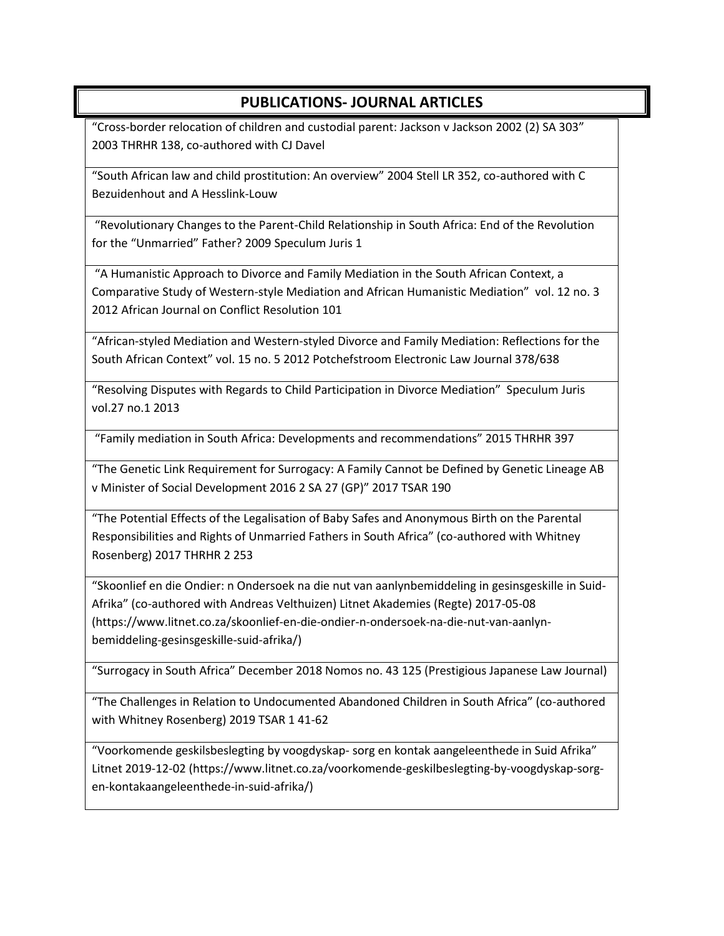## **PUBLICATIONS- JOURNAL ARTICLES**

"Cross-border relocation of children and custodial parent: Jackson v Jackson 2002 (2) SA 303" 2003 THRHR 138, co-authored with CJ Davel

"South African law and child prostitution: An overview" 2004 Stell LR 352, co-authored with C Bezuidenhout and A Hesslink-Louw

"Revolutionary Changes to the Parent-Child Relationship in South Africa: End of the Revolution for the "Unmarried" Father? 2009 Speculum Juris 1

"A Humanistic Approach to Divorce and Family Mediation in the South African Context, a Comparative Study of Western-style Mediation and African Humanistic Mediation" vol. 12 no. 3 2012 African Journal on Conflict Resolution 101

"African-styled Mediation and Western-styled Divorce and Family Mediation: Reflections for the South African Context" vol. 15 no. 5 2012 Potchefstroom Electronic Law Journal 378/638

"Resolving Disputes with Regards to Child Participation in Divorce Mediation" Speculum Juris vol.27 no.1 2013

"Family mediation in South Africa: Developments and recommendations" 2015 THRHR 397

"The Genetic Link Requirement for Surrogacy: A Family Cannot be Defined by Genetic Lineage AB v Minister of Social Development 2016 2 SA 27 (GP)" 2017 TSAR 190

"The Potential Effects of the Legalisation of Baby Safes and Anonymous Birth on the Parental Responsibilities and Rights of Unmarried Fathers in South Africa" (co-authored with Whitney Rosenberg) 2017 THRHR 2 253

"Skoonlief en die Ondier: n Ondersoek na die nut van aanlynbemiddeling in gesinsgeskille in Suid-Afrika" (co-authored with Andreas Velthuizen) Litnet Akademies (Regte) 2017-05-08 (https://www.litnet.co.za/skoonlief-en-die-ondier-n-ondersoek-na-die-nut-van-aanlynbemiddeling-gesinsgeskille-suid-afrika/)

"Surrogacy in South Africa" December 2018 Nomos no. 43 125 (Prestigious Japanese Law Journal)

"The Challenges in Relation to Undocumented Abandoned Children in South Africa" (co-authored with Whitney Rosenberg) 2019 TSAR 1 41-62

"Voorkomende geskilsbeslegting by voogdyskap- sorg en kontak aangeleenthede in Suid Afrika" Litnet 2019-12-02 (https://www.litnet.co.za/voorkomende-geskilbeslegting-by-voogdyskap-sorgen-kontakaangeleenthede-in-suid-afrika/)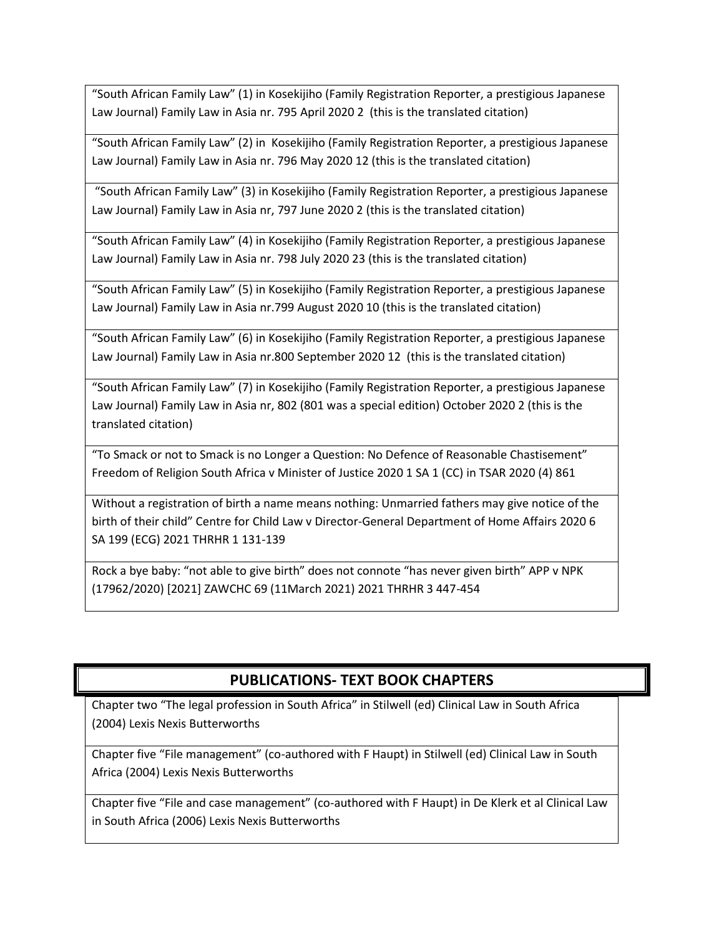"South African Family Law" (1) in Kosekijiho (Family Registration Reporter, a prestigious Japanese Law Journal) Family Law in Asia nr. 795 April 2020 2 (this is the translated citation)

"South African Family Law" (2) in Kosekijiho (Family Registration Reporter, a prestigious Japanese Law Journal) Family Law in Asia nr. 796 May 2020 12 (this is the translated citation)

"South African Family Law" (3) in Kosekijiho (Family Registration Reporter, a prestigious Japanese Law Journal) Family Law in Asia nr, 797 June 2020 2 (this is the translated citation)

"South African Family Law" (4) in Kosekijiho (Family Registration Reporter, a prestigious Japanese Law Journal) Family Law in Asia nr. 798 July 2020 23 (this is the translated citation)

"South African Family Law" (5) in Kosekijiho (Family Registration Reporter, a prestigious Japanese Law Journal) Family Law in Asia nr.799 August 2020 10 (this is the translated citation)

"South African Family Law" (6) in Kosekijiho (Family Registration Reporter, a prestigious Japanese Law Journal) Family Law in Asia nr.800 September 2020 12 (this is the translated citation)

"South African Family Law" (7) in Kosekijiho (Family Registration Reporter, a prestigious Japanese Law Journal) Family Law in Asia nr, 802 (801 was a special edition) October 2020 2 (this is the translated citation)

"To Smack or not to Smack is no Longer a Question: No Defence of Reasonable Chastisement" Freedom of Religion South Africa v Minister of Justice 2020 1 SA 1 (CC) in TSAR 2020 (4) 861

Without a registration of birth a name means nothing: Unmarried fathers may give notice of the birth of their child" Centre for Child Law v Director-General Department of Home Affairs 2020 6 SA 199 (ECG) 2021 THRHR 1 131-139

Rock a bye baby: "not able to give birth" does not connote "has never given birth" APP v NPK (17962/2020) [2021] ZAWCHC 69 (11March 2021) 2021 THRHR 3 447-454

## **PUBLICATIONS- TEXT BOOK CHAPTERS**

Chapter two "The legal profession in South Africa" in Stilwell (ed) Clinical Law in South Africa (2004) Lexis Nexis Butterworths

Chapter five "File management" (co-authored with F Haupt) in Stilwell (ed) Clinical Law in South Africa (2004) Lexis Nexis Butterworths

Chapter five "File and case management" (co-authored with F Haupt) in De Klerk et al Clinical Law in South Africa (2006) Lexis Nexis Butterworths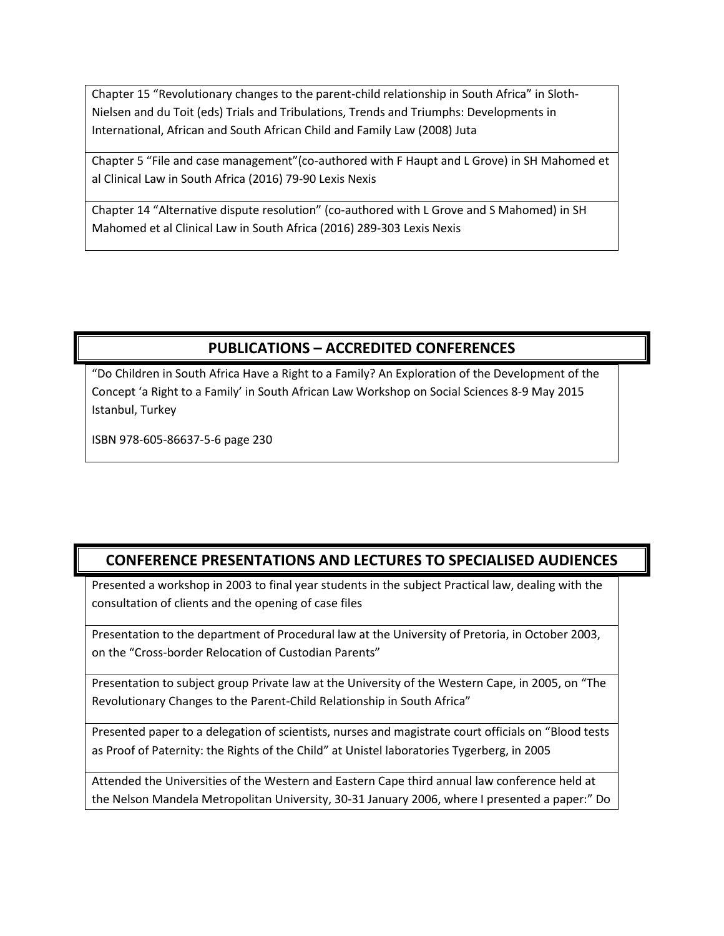Chapter 15 "Revolutionary changes to the parent-child relationship in South Africa" in Sloth-Nielsen and du Toit (eds) Trials and Tribulations, Trends and Triumphs: Developments in International, African and South African Child and Family Law (2008) Juta

Chapter 5 "File and case management"(co-authored with F Haupt and L Grove) in SH Mahomed et al Clinical Law in South Africa (2016) 79-90 Lexis Nexis

Chapter 14 "Alternative dispute resolution" (co-authored with L Grove and S Mahomed) in SH Mahomed et al Clinical Law in South Africa (2016) 289-303 Lexis Nexis

## **PUBLICATIONS – ACCREDITED CONFERENCES**

"Do Children in South Africa Have a Right to a Family? An Exploration of the Development of the Concept 'a Right to a Family' in South African Law Workshop on Social Sciences 8-9 May 2015 Istanbul, Turkey

ISBN 978-605-86637-5-6 page 230

## **CONFERENCE PRESENTATIONS AND LECTURES TO SPECIALISED AUDIENCES**

Presented a workshop in 2003 to final year students in the subject Practical law, dealing with the consultation of clients and the opening of case files

Presentation to the department of Procedural law at the University of Pretoria, in October 2003, on the "Cross-border Relocation of Custodian Parents"

Presentation to subject group Private law at the University of the Western Cape, in 2005, on "The Revolutionary Changes to the Parent-Child Relationship in South Africa"

Presented paper to a delegation of scientists, nurses and magistrate court officials on "Blood tests as Proof of Paternity: the Rights of the Child" at Unistel laboratories Tygerberg, in 2005

Attended the Universities of the Western and Eastern Cape third annual law conference held at the Nelson Mandela Metropolitan University, 30-31 January 2006, where I presented a paper:" Do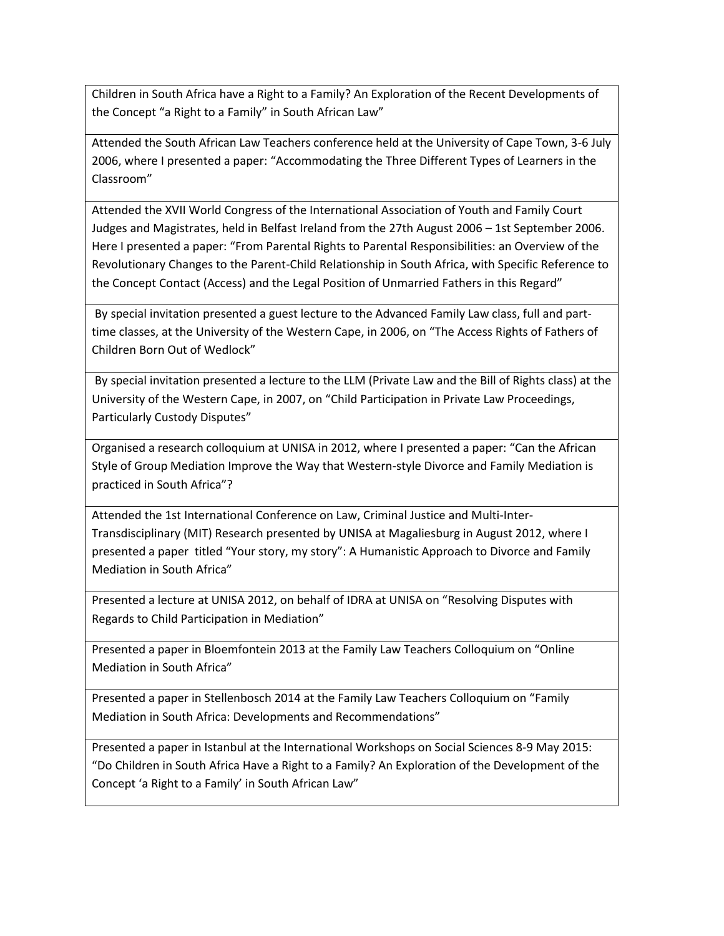Children in South Africa have a Right to a Family? An Exploration of the Recent Developments of the Concept "a Right to a Family" in South African Law"

Attended the South African Law Teachers conference held at the University of Cape Town, 3-6 July 2006, where I presented a paper: "Accommodating the Three Different Types of Learners in the Classroom"

Attended the XVII World Congress of the International Association of Youth and Family Court Judges and Magistrates, held in Belfast Ireland from the 27th August 2006 – 1st September 2006. Here I presented a paper: "From Parental Rights to Parental Responsibilities: an Overview of the Revolutionary Changes to the Parent-Child Relationship in South Africa, with Specific Reference to the Concept Contact (Access) and the Legal Position of Unmarried Fathers in this Regard"

By special invitation presented a guest lecture to the Advanced Family Law class, full and parttime classes, at the University of the Western Cape, in 2006, on "The Access Rights of Fathers of Children Born Out of Wedlock"

By special invitation presented a lecture to the LLM (Private Law and the Bill of Rights class) at the University of the Western Cape, in 2007, on "Child Participation in Private Law Proceedings, Particularly Custody Disputes"

Organised a research colloquium at UNISA in 2012, where I presented a paper: "Can the African Style of Group Mediation Improve the Way that Western-style Divorce and Family Mediation is practiced in South Africa"?

Attended the 1st International Conference on Law, Criminal Justice and Multi-Inter-Transdisciplinary (MIT) Research presented by UNISA at Magaliesburg in August 2012, where I presented a paper titled "Your story, my story": A Humanistic Approach to Divorce and Family Mediation in South Africa"

Presented a lecture at UNISA 2012, on behalf of IDRA at UNISA on "Resolving Disputes with Regards to Child Participation in Mediation"

Presented a paper in Bloemfontein 2013 at the Family Law Teachers Colloquium on "Online Mediation in South Africa"

Presented a paper in Stellenbosch 2014 at the Family Law Teachers Colloquium on "Family Mediation in South Africa: Developments and Recommendations"

Presented a paper in Istanbul at the International Workshops on Social Sciences 8-9 May 2015: "Do Children in South Africa Have a Right to a Family? An Exploration of the Development of the Concept 'a Right to a Family' in South African Law"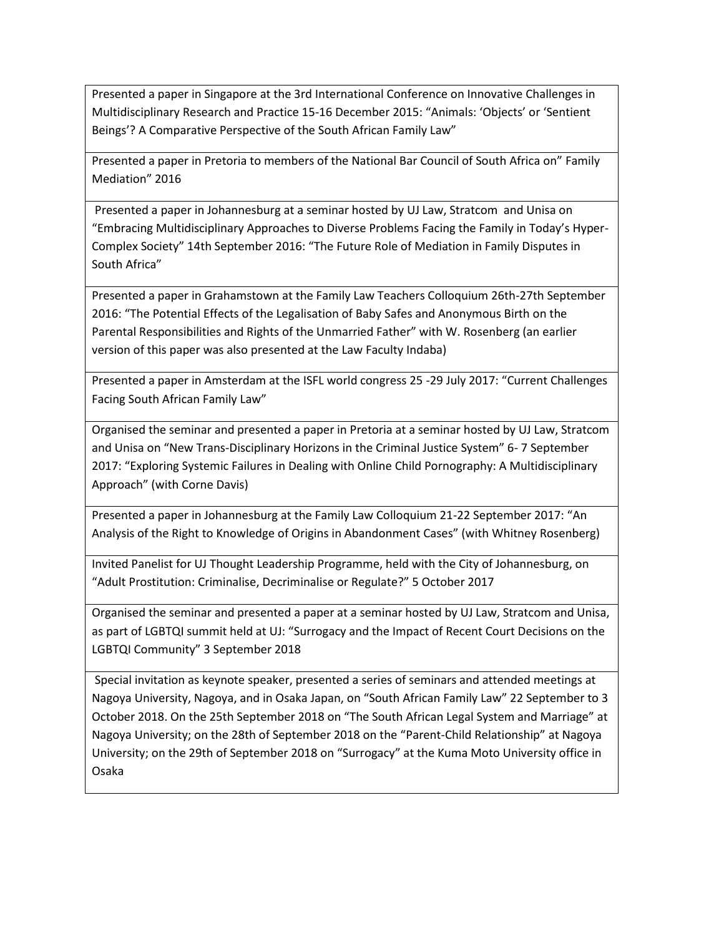Presented a paper in Singapore at the 3rd International Conference on Innovative Challenges in Multidisciplinary Research and Practice 15-16 December 2015: "Animals: 'Objects' or 'Sentient Beings'? A Comparative Perspective of the South African Family Law"

Presented a paper in Pretoria to members of the National Bar Council of South Africa on" Family Mediation" 2016

Presented a paper in Johannesburg at a seminar hosted by UJ Law, Stratcom and Unisa on "Embracing Multidisciplinary Approaches to Diverse Problems Facing the Family in Today's Hyper-Complex Society" 14th September 2016: "The Future Role of Mediation in Family Disputes in South Africa"

Presented a paper in Grahamstown at the Family Law Teachers Colloquium 26th-27th September 2016: "The Potential Effects of the Legalisation of Baby Safes and Anonymous Birth on the Parental Responsibilities and Rights of the Unmarried Father" with W. Rosenberg (an earlier version of this paper was also presented at the Law Faculty Indaba)

Presented a paper in Amsterdam at the ISFL world congress 25 -29 July 2017: "Current Challenges Facing South African Family Law"

Organised the seminar and presented a paper in Pretoria at a seminar hosted by UJ Law, Stratcom and Unisa on "New Trans-Disciplinary Horizons in the Criminal Justice System" 6- 7 September 2017: "Exploring Systemic Failures in Dealing with Online Child Pornography: A Multidisciplinary Approach" (with Corne Davis)

Presented a paper in Johannesburg at the Family Law Colloquium 21-22 September 2017: "An Analysis of the Right to Knowledge of Origins in Abandonment Cases" (with Whitney Rosenberg)

Invited Panelist for UJ Thought Leadership Programme, held with the City of Johannesburg, on "Adult Prostitution: Criminalise, Decriminalise or Regulate?" 5 October 2017

Organised the seminar and presented a paper at a seminar hosted by UJ Law, Stratcom and Unisa, as part of LGBTQI summit held at UJ: "Surrogacy and the Impact of Recent Court Decisions on the LGBTQI Community" 3 September 2018

Special invitation as keynote speaker, presented a series of seminars and attended meetings at Nagoya University, Nagoya, and in Osaka Japan, on "South African Family Law" 22 September to 3 October 2018. On the 25th September 2018 on "The South African Legal System and Marriage" at Nagoya University; on the 28th of September 2018 on the "Parent-Child Relationship" at Nagoya University; on the 29th of September 2018 on "Surrogacy" at the Kuma Moto University office in Osaka